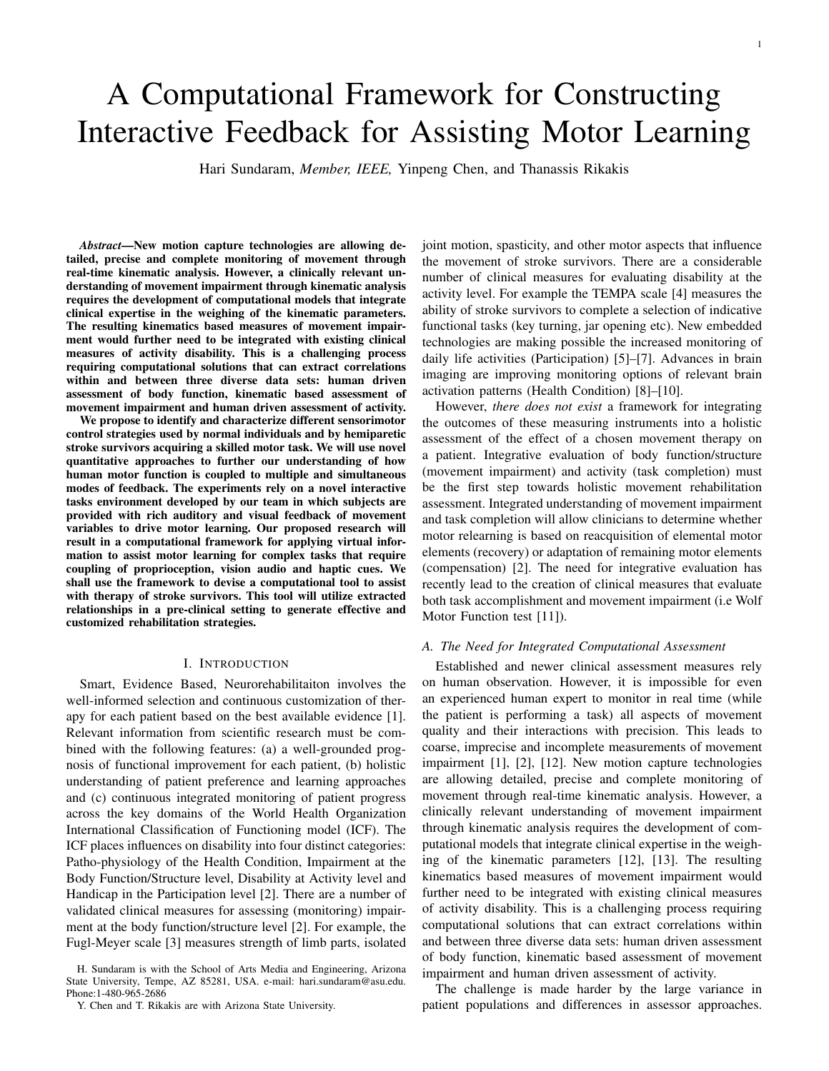# A Computational Framework for Constructing Interactive Feedback for Assisting Motor Learning

Hari Sundaram, *Member, IEEE,* Yinpeng Chen, and Thanassis Rikakis

*Abstract*—New motion capture technologies are allowing detailed, precise and complete monitoring of movement through real-time kinematic analysis. However, a clinically relevant understanding of movement impairment through kinematic analysis requires the development of computational models that integrate clinical expertise in the weighing of the kinematic parameters. The resulting kinematics based measures of movement impairment would further need to be integrated with existing clinical measures of activity disability. This is a challenging process requiring computational solutions that can extract correlations within and between three diverse data sets: human driven assessment of body function, kinematic based assessment of movement impairment and human driven assessment of activity.

We propose to identify and characterize different sensorimotor control strategies used by normal individuals and by hemiparetic stroke survivors acquiring a skilled motor task. We will use novel quantitative approaches to further our understanding of how human motor function is coupled to multiple and simultaneous modes of feedback. The experiments rely on a novel interactive tasks environment developed by our team in which subjects are provided with rich auditory and visual feedback of movement variables to drive motor learning. Our proposed research will result in a computational framework for applying virtual information to assist motor learning for complex tasks that require coupling of proprioception, vision audio and haptic cues. We shall use the framework to devise a computational tool to assist with therapy of stroke survivors. This tool will utilize extracted relationships in a pre-clinical setting to generate effective and customized rehabilitation strategies.

#### I. INTRODUCTION

Smart, Evidence Based, Neurorehabilitaiton involves the well-informed selection and continuous customization of therapy for each patient based on the best available evidence [1]. Relevant information from scientific research must be combined with the following features: (a) a well-grounded prognosis of functional improvement for each patient, (b) holistic understanding of patient preference and learning approaches and (c) continuous integrated monitoring of patient progress across the key domains of the World Health Organization International Classification of Functioning model (ICF). The ICF places influences on disability into four distinct categories: Patho-physiology of the Health Condition, Impairment at the Body Function/Structure level, Disability at Activity level and Handicap in the Participation level [2]. There are a number of validated clinical measures for assessing (monitoring) impairment at the body function/structure level [2]. For example, the Fugl-Meyer scale [3] measures strength of limb parts, isolated joint motion, spasticity, and other motor aspects that influence the movement of stroke survivors. There are a considerable number of clinical measures for evaluating disability at the activity level. For example the TEMPA scale [4] measures the ability of stroke survivors to complete a selection of indicative functional tasks (key turning, jar opening etc). New embedded technologies are making possible the increased monitoring of daily life activities (Participation) [5]–[7]. Advances in brain imaging are improving monitoring options of relevant brain activation patterns (Health Condition) [8]–[10].

However, *there does not exist* a framework for integrating the outcomes of these measuring instruments into a holistic assessment of the effect of a chosen movement therapy on a patient. Integrative evaluation of body function/structure (movement impairment) and activity (task completion) must be the first step towards holistic movement rehabilitation assessment. Integrated understanding of movement impairment and task completion will allow clinicians to determine whether motor relearning is based on reacquisition of elemental motor elements (recovery) or adaptation of remaining motor elements (compensation) [2]. The need for integrative evaluation has recently lead to the creation of clinical measures that evaluate both task accomplishment and movement impairment (i.e Wolf Motor Function test [11]).

## *A. The Need for Integrated Computational Assessment*

Established and newer clinical assessment measures rely on human observation. However, it is impossible for even an experienced human expert to monitor in real time (while the patient is performing a task) all aspects of movement quality and their interactions with precision. This leads to coarse, imprecise and incomplete measurements of movement impairment [1], [2], [12]. New motion capture technologies are allowing detailed, precise and complete monitoring of movement through real-time kinematic analysis. However, a clinically relevant understanding of movement impairment through kinematic analysis requires the development of computational models that integrate clinical expertise in the weighing of the kinematic parameters [12], [13]. The resulting kinematics based measures of movement impairment would further need to be integrated with existing clinical measures of activity disability. This is a challenging process requiring computational solutions that can extract correlations within and between three diverse data sets: human driven assessment of body function, kinematic based assessment of movement impairment and human driven assessment of activity.

The challenge is made harder by the large variance in patient populations and differences in assessor approaches.

H. Sundaram is with the School of Arts Media and Engineering, Arizona State University, Tempe, AZ 85281, USA. e-mail: hari.sundaram@asu.edu. Phone:1-480-965-2686

Y. Chen and T. Rikakis are with Arizona State University.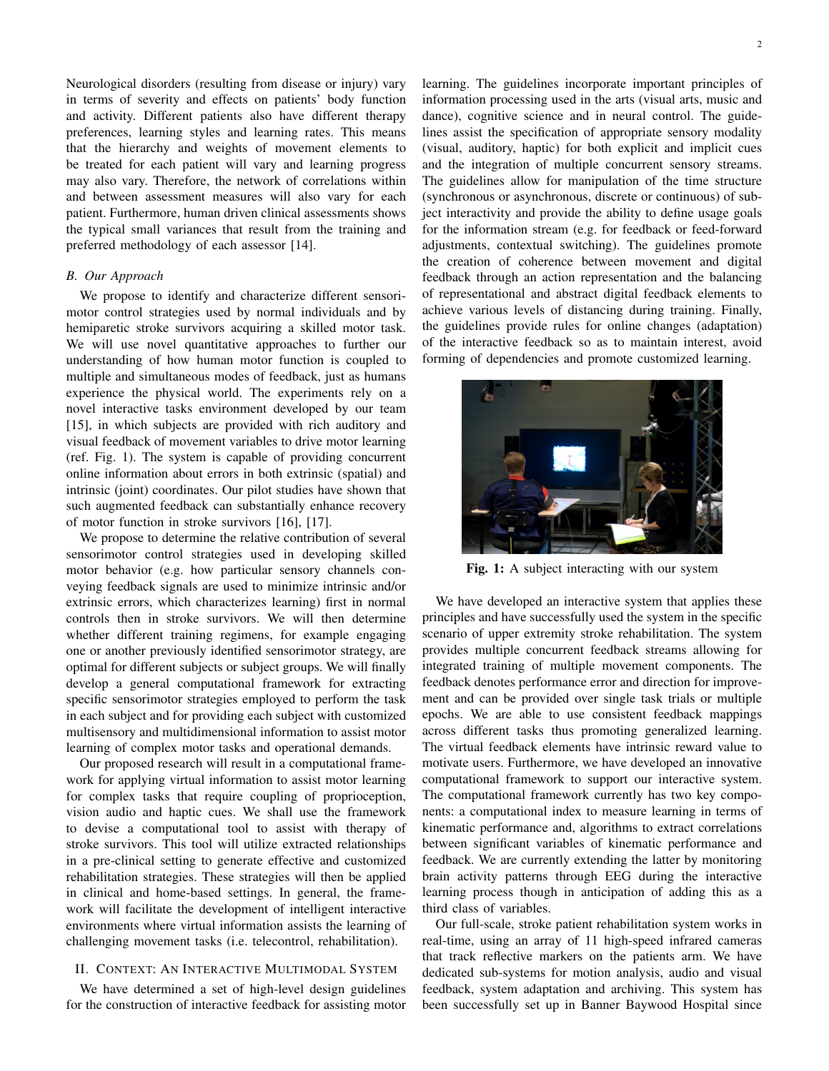Neurological disorders (resulting from disease or injury) vary in terms of severity and effects on patients' body function and activity. Different patients also have different therapy preferences, learning styles and learning rates. This means that the hierarchy and weights of movement elements to be treated for each patient will vary and learning progress may also vary. Therefore, the network of correlations within and between assessment measures will also vary for each patient. Furthermore, human driven clinical assessments shows the typical small variances that result from the training and preferred methodology of each assessor [14].

# *B. Our Approach*

We propose to identify and characterize different sensorimotor control strategies used by normal individuals and by hemiparetic stroke survivors acquiring a skilled motor task. We will use novel quantitative approaches to further our understanding of how human motor function is coupled to multiple and simultaneous modes of feedback, just as humans experience the physical world. The experiments rely on a novel interactive tasks environment developed by our team [15], in which subjects are provided with rich auditory and visual feedback of movement variables to drive motor learning (ref. Fig. 1). The system is capable of providing concurrent online information about errors in both extrinsic (spatial) and intrinsic (joint) coordinates. Our pilot studies have shown that such augmented feedback can substantially enhance recovery of motor function in stroke survivors [16], [17].

We propose to determine the relative contribution of several sensorimotor control strategies used in developing skilled motor behavior (e.g. how particular sensory channels conveying feedback signals are used to minimize intrinsic and/or extrinsic errors, which characterizes learning) first in normal controls then in stroke survivors. We will then determine whether different training regimens, for example engaging one or another previously identified sensorimotor strategy, are optimal for different subjects or subject groups. We will finally develop a general computational framework for extracting specific sensorimotor strategies employed to perform the task in each subject and for providing each subject with customized multisensory and multidimensional information to assist motor learning of complex motor tasks and operational demands.

Our proposed research will result in a computational framework for applying virtual information to assist motor learning for complex tasks that require coupling of proprioception, vision audio and haptic cues. We shall use the framework to devise a computational tool to assist with therapy of stroke survivors. This tool will utilize extracted relationships in a pre-clinical setting to generate effective and customized rehabilitation strategies. These strategies will then be applied in clinical and home-based settings. In general, the framework will facilitate the development of intelligent interactive environments where virtual information assists the learning of challenging movement tasks (i.e. telecontrol, rehabilitation).

# II. CONTEXT: AN INTERACTIVE MULTIMODAL SYSTEM

We have determined a set of high-level design guidelines for the construction of interactive feedback for assisting motor learning. The guidelines incorporate important principles of information processing used in the arts (visual arts, music and dance), cognitive science and in neural control. The guidelines assist the specification of appropriate sensory modality (visual, auditory, haptic) for both explicit and implicit cues and the integration of multiple concurrent sensory streams. The guidelines allow for manipulation of the time structure (synchronous or asynchronous, discrete or continuous) of subject interactivity and provide the ability to define usage goals for the information stream (e.g. for feedback or feed-forward adjustments, contextual switching). The guidelines promote the creation of coherence between movement and digital feedback through an action representation and the balancing of representational and abstract digital feedback elements to achieve various levels of distancing during training. Finally, the guidelines provide rules for online changes (adaptation) of the interactive feedback so as to maintain interest, avoid forming of dependencies and promote customized learning.



Fig. 1: A subject interacting with our system

We have developed an interactive system that applies these principles and have successfully used the system in the specific scenario of upper extremity stroke rehabilitation. The system provides multiple concurrent feedback streams allowing for integrated training of multiple movement components. The feedback denotes performance error and direction for improvement and can be provided over single task trials or multiple epochs. We are able to use consistent feedback mappings across different tasks thus promoting generalized learning. The virtual feedback elements have intrinsic reward value to motivate users. Furthermore, we have developed an innovative computational framework to support our interactive system. The computational framework currently has two key components: a computational index to measure learning in terms of kinematic performance and, algorithms to extract correlations between significant variables of kinematic performance and feedback. We are currently extending the latter by monitoring brain activity patterns through EEG during the interactive learning process though in anticipation of adding this as a third class of variables.

Our full-scale, stroke patient rehabilitation system works in real-time, using an array of 11 high-speed infrared cameras that track reflective markers on the patients arm. We have dedicated sub-systems for motion analysis, audio and visual feedback, system adaptation and archiving. This system has been successfully set up in Banner Baywood Hospital since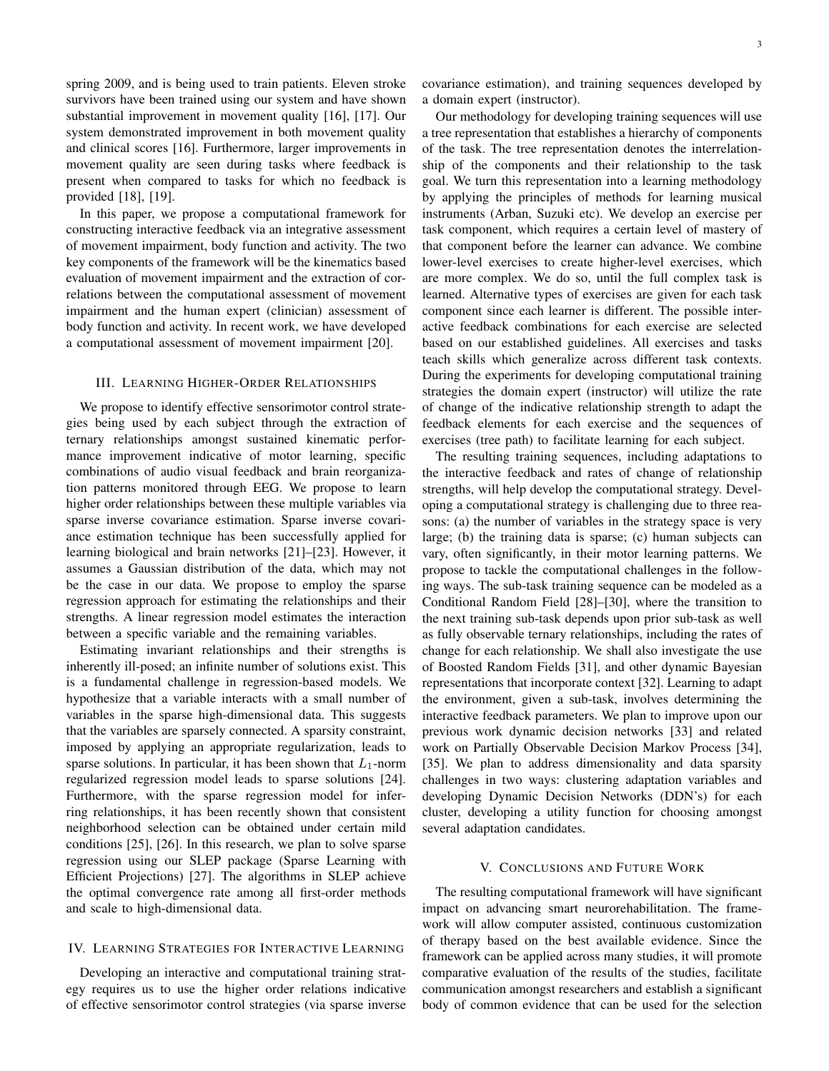spring 2009, and is being used to train patients. Eleven stroke survivors have been trained using our system and have shown substantial improvement in movement quality [16], [17]. Our system demonstrated improvement in both movement quality and clinical scores [16]. Furthermore, larger improvements in movement quality are seen during tasks where feedback is present when compared to tasks for which no feedback is provided [18], [19].

In this paper, we propose a computational framework for constructing interactive feedback via an integrative assessment of movement impairment, body function and activity. The two key components of the framework will be the kinematics based evaluation of movement impairment and the extraction of correlations between the computational assessment of movement impairment and the human expert (clinician) assessment of body function and activity. In recent work, we have developed a computational assessment of movement impairment [20].

## III. LEARNING HIGHER-ORDER RELATIONSHIPS

We propose to identify effective sensorimotor control strategies being used by each subject through the extraction of ternary relationships amongst sustained kinematic performance improvement indicative of motor learning, specific combinations of audio visual feedback and brain reorganization patterns monitored through EEG. We propose to learn higher order relationships between these multiple variables via sparse inverse covariance estimation. Sparse inverse covariance estimation technique has been successfully applied for learning biological and brain networks [21]–[23]. However, it assumes a Gaussian distribution of the data, which may not be the case in our data. We propose to employ the sparse regression approach for estimating the relationships and their strengths. A linear regression model estimates the interaction between a specific variable and the remaining variables.

Estimating invariant relationships and their strengths is inherently ill-posed; an infinite number of solutions exist. This is a fundamental challenge in regression-based models. We hypothesize that a variable interacts with a small number of variables in the sparse high-dimensional data. This suggests that the variables are sparsely connected. A sparsity constraint, imposed by applying an appropriate regularization, leads to sparse solutions. In particular, it has been shown that  $L_1$ -norm regularized regression model leads to sparse solutions [24]. Furthermore, with the sparse regression model for inferring relationships, it has been recently shown that consistent neighborhood selection can be obtained under certain mild conditions [25], [26]. In this research, we plan to solve sparse regression using our SLEP package (Sparse Learning with Efficient Projections) [27]. The algorithms in SLEP achieve the optimal convergence rate among all first-order methods and scale to high-dimensional data.

#### IV. LEARNING STRATEGIES FOR INTERACTIVE LEARNING

Developing an interactive and computational training strategy requires us to use the higher order relations indicative of effective sensorimotor control strategies (via sparse inverse covariance estimation), and training sequences developed by a domain expert (instructor).

Our methodology for developing training sequences will use a tree representation that establishes a hierarchy of components of the task. The tree representation denotes the interrelationship of the components and their relationship to the task goal. We turn this representation into a learning methodology by applying the principles of methods for learning musical instruments (Arban, Suzuki etc). We develop an exercise per task component, which requires a certain level of mastery of that component before the learner can advance. We combine lower-level exercises to create higher-level exercises, which are more complex. We do so, until the full complex task is learned. Alternative types of exercises are given for each task component since each learner is different. The possible interactive feedback combinations for each exercise are selected based on our established guidelines. All exercises and tasks teach skills which generalize across different task contexts. During the experiments for developing computational training strategies the domain expert (instructor) will utilize the rate of change of the indicative relationship strength to adapt the feedback elements for each exercise and the sequences of exercises (tree path) to facilitate learning for each subject.

The resulting training sequences, including adaptations to the interactive feedback and rates of change of relationship strengths, will help develop the computational strategy. Developing a computational strategy is challenging due to three reasons: (a) the number of variables in the strategy space is very large; (b) the training data is sparse; (c) human subjects can vary, often significantly, in their motor learning patterns. We propose to tackle the computational challenges in the following ways. The sub-task training sequence can be modeled as a Conditional Random Field [28]–[30], where the transition to the next training sub-task depends upon prior sub-task as well as fully observable ternary relationships, including the rates of change for each relationship. We shall also investigate the use of Boosted Random Fields [31], and other dynamic Bayesian representations that incorporate context [32]. Learning to adapt the environment, given a sub-task, involves determining the interactive feedback parameters. We plan to improve upon our previous work dynamic decision networks [33] and related work on Partially Observable Decision Markov Process [34], [35]. We plan to address dimensionality and data sparsity challenges in two ways: clustering adaptation variables and developing Dynamic Decision Networks (DDN's) for each cluster, developing a utility function for choosing amongst several adaptation candidates.

#### V. CONCLUSIONS AND FUTURE WORK

The resulting computational framework will have significant impact on advancing smart neurorehabilitation. The framework will allow computer assisted, continuous customization of therapy based on the best available evidence. Since the framework can be applied across many studies, it will promote comparative evaluation of the results of the studies, facilitate communication amongst researchers and establish a significant body of common evidence that can be used for the selection